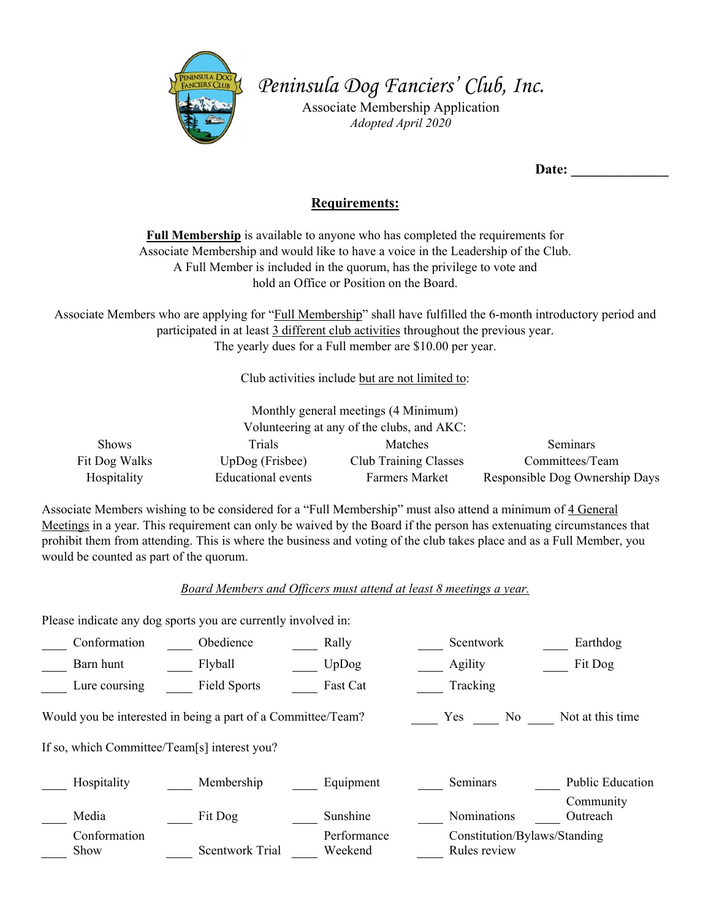

*Peninsula Dog Fanciers' Club, Inc.*

Associate Membership Application *Adopted April 2020* 

Date:

## **Requirements:**

**Full Membership** is available to anyone who has completed the requirements for Associate Membership and would like to have a voice in the Leadership of the Club. A Full Member is included in the quorum, has the privilege to vote and hold an Office or Position on the Board.

Associate Members who are applying for "Full Membership" shall have fulfilled the 6-month introductory period and participated in at least 3 different club activities throughout the previous year. The yearly dues for a Full member are \$10.00 per year.

Club activities include but are not limited to:

| Monthly general meetings (4 Minimum)       |                           |                              |                                |  |  |  |  |
|--------------------------------------------|---------------------------|------------------------------|--------------------------------|--|--|--|--|
| Volunteering at any of the clubs, and AKC: |                           |                              |                                |  |  |  |  |
| <b>Shows</b>                               | Trials                    | Matches                      | Seminars                       |  |  |  |  |
| Fit Dog Walks                              | $UpDog$ (Frisbee)         | <b>Club Training Classes</b> | Committees/Team                |  |  |  |  |
| Hospitality                                | <b>Educational</b> events | <b>Farmers Market</b>        | Responsible Dog Ownership Days |  |  |  |  |

Associate Members wishing to be considered for a "Full Membership" must also attend a minimum of 4 General Meetings in a year. This requirement can only be waived by the Board if the person has extenuating circumstances that prohibit them from attending. This is where the business and voting of the club takes place and as a Full Member, you would be counted as part of the quorum.

*Board Members and Officers must attend at least 8 meetings a year.* 

Please indicate any dog sports you are currently involved in:

| Conformation                                                                                          | Obedience              | Rally                  | Scentwork                                    | Earthdog              |  |  |  |  |
|-------------------------------------------------------------------------------------------------------|------------------------|------------------------|----------------------------------------------|-----------------------|--|--|--|--|
| Barn hunt                                                                                             | Flyball                | UpDog                  | Agility                                      | Fit Dog               |  |  |  |  |
| Lure coursing                                                                                         | Field Sports           | Fast Cat               | Tracking                                     |                       |  |  |  |  |
| Would you be interested in being a part of a Committee/Team?<br>Not at this time<br>No.<br><b>Yes</b> |                        |                        |                                              |                       |  |  |  |  |
| If so, which Committee/Team[s] interest you?                                                          |                        |                        |                                              |                       |  |  |  |  |
| Hospitality                                                                                           | Membership             | Equipment              | Seminars                                     | Public Education      |  |  |  |  |
| Media                                                                                                 | Fit Dog                | Sunshine               | Nominations                                  | Community<br>Outreach |  |  |  |  |
| Conformation<br>Show                                                                                  | <b>Scentwork Trial</b> | Performance<br>Weekend | Constitution/Bylaws/Standing<br>Rules review |                       |  |  |  |  |